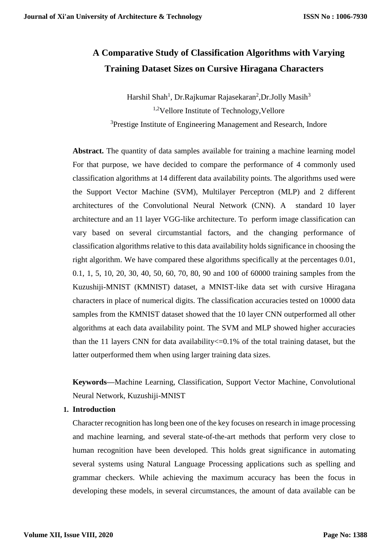# **A Comparative Study of Classification Algorithms with Varying Training Dataset Sizes on Cursive Hiragana Characters**

Harshil Shah<sup>1</sup>, Dr.Rajkumar Rajasekaran<sup>2</sup>,Dr.Jolly Masih<sup>3</sup> <sup>1,2</sup>Vellore Institute of Technology, Vellore <sup>3</sup>Prestige Institute of Engineering Management and Research, Indore

Abstract. The quantity of data samples available for training a machine learning model For that purpose, we have decided to compare the performance of 4 commonly used classification algorithms at 14 different data availability points. The algorithms used were the Support Vector Machine (SVM), Multilayer Perceptron (MLP) and 2 different architectures of the Convolutional Neural Network (CNN). A standard 10 layer architecture and an 11 layer VGG-like architecture. To perform image classification can vary based on several circumstantial factors, and the changing performance of classification algorithms relative to this data availability holds significance in choosing the right algorithm. We have compared these algorithms specifically at the percentages 0.01, 0.1, 1, 5, 10, 20, 30, 40, 50, 60, 70, 80, 90 and 100 of 60000 training samples from the Kuzushiji-MNIST (KMNIST) dataset, a MNIST-like data set with cursive Hiragana characters in place of numerical digits. The classification accuracies tested on 10000 data samples from the KMNIST dataset showed that the 10 layer CNN outperformed all other algorithms at each data availability point. The SVM and MLP showed higher accuracies than the 11 layers CNN for data availability<=0.1% of the total training dataset, but the latter outperformed them when using larger training data sizes.

**Keywords—**Machine Learning, Classification, Support Vector Machine, Convolutional Neural Network, Kuzushiji-MNIST

## **1. Introduction**

Character recognition has long been one of the key focuses on research in image processing and machine learning, and several state-of-the-art methods that perform very close to human recognition have been developed. This holds great significance in automating several systems using Natural Language Processing applications such as spelling and grammar checkers. While achieving the maximum accuracy has been the focus in developing these models, in several circumstances, the amount of data available can be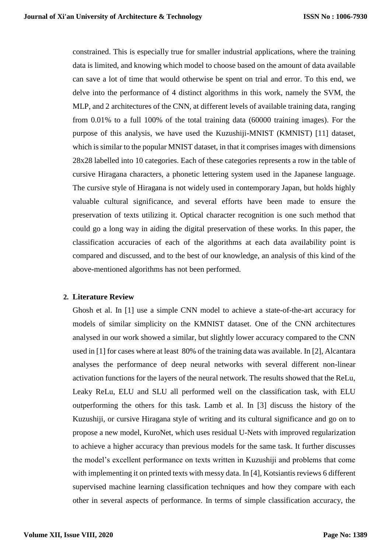constrained. This is especially true for smaller industrial applications, where the training data is limited, and knowing which model to choose based on the amount of data available can save a lot of time that would otherwise be spent on trial and error. To this end, we delve into the performance of 4 distinct algorithms in this work, namely the SVM, the MLP, and 2 architectures of the CNN, at different levels of available training data, ranging from 0.01% to a full 100% of the total training data (60000 training images). For the purpose of this analysis, we have used the Kuzushiji-MNIST (KMNIST) [11] dataset, which is similar to the popular MNIST dataset, in that it comprises images with dimensions 28x28 labelled into 10 categories. Each of these categories represents a row in the table of cursive Hiragana characters, a phonetic lettering system used in the Japanese language. The cursive style of Hiragana is not widely used in contemporary Japan, but holds highly valuable cultural significance, and several efforts have been made to ensure the preservation of texts utilizing it. Optical character recognition is one such method that could go a long way in aiding the digital preservation of these works. In this paper, the classification accuracies of each of the algorithms at each data availability point is compared and discussed, and to the best of our knowledge, an analysis of this kind of the above-mentioned algorithms has not been performed.

## **2. Literature Review**

Ghosh et al. In [1] use a simple CNN model to achieve a state-of-the-art accuracy for models of similar simplicity on the KMNIST dataset. One of the CNN architectures analysed in our work showed a similar, but slightly lower accuracy compared to the CNN used in [1] for cases where at least 80% of the training data was available. In [2], Alcantara analyses the performance of deep neural networks with several different non-linear activation functions for the layers of the neural network. The results showed that the ReLu, Leaky ReLu, ELU and SLU all performed well on the classification task, with ELU outperforming the others for this task. Lamb et al. In [3] discuss the history of the Kuzushiji, or cursive Hiragana style of writing and its cultural significance and go on to propose a new model, KuroNet, which uses residual U-Nets with improved regularization to achieve a higher accuracy than previous models for the same task. It further discusses the model's excellent performance on texts written in Kuzushiji and problems that come with implementing it on printed texts with messy data. In [4], Kotsiantis reviews 6 different supervised machine learning classification techniques and how they compare with each other in several aspects of performance. In terms of simple classification accuracy, the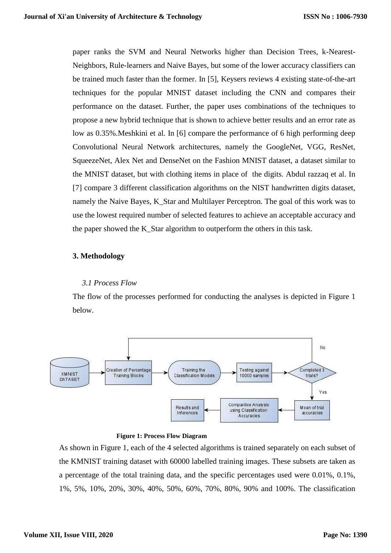paper ranks the SVM and Neural Networks higher than Decision Trees, k-Nearest-Neighbors, Rule-learners and Naive Bayes, but some of the lower accuracy classifiers can be trained much faster than the former. In [5], Keysers reviews 4 existing state-of-the-art techniques for the popular MNIST dataset including the CNN and compares their performance on the dataset. Further, the paper uses combinations of the techniques to propose a new hybrid technique that is shown to achieve better results and an error rate as low as 0.35%.Meshkini et al. In [6] compare the performance of 6 high performing deep Convolutional Neural Network architectures, namely the GoogleNet, VGG, ResNet, SqueezeNet, Alex Net and DenseNet on the Fashion MNIST dataset, a dataset similar to the MNIST dataset, but with clothing items in place of the digits. Abdul razzaq et al. In [7] compare 3 different classification algorithms on the NIST handwritten digits dataset, namely the Naive Bayes, K\_Star and Multilayer Perceptron. The goal of this work was to use the lowest required number of selected features to achieve an acceptable accuracy and the paper showed the K\_Star algorithm to outperform the others in this task.

#### **3. Methodology**

#### *3.1 Process Flow*

The flow of the processes performed for conducting the analyses is depicted in Figure 1 below.



 **Figure 1: Process Flow Diagram**

As shown in Figure 1, each of the 4 selected algorithms is trained separately on each subset of the KMNIST training dataset with 60000 labelled training images. These subsets are taken as a percentage of the total training data, and the specific percentages used were 0.01%, 0.1%, 1%, 5%, 10%, 20%, 30%, 40%, 50%, 60%, 70%, 80%, 90% and 100%. The classification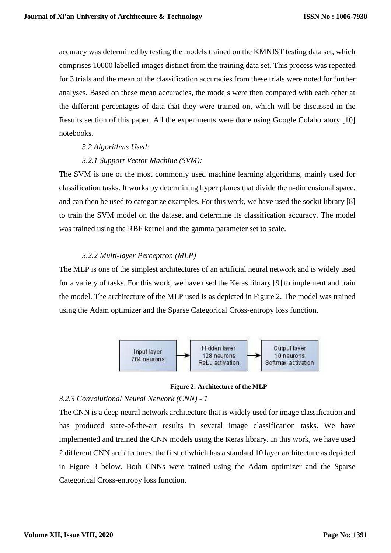accuracy was determined by testing the models trained on the KMNIST testing data set, which comprises 10000 labelled images distinct from the training data set. This process was repeated for 3 trials and the mean of the classification accuracies from these trials were noted for further analyses. Based on these mean accuracies, the models were then compared with each other at the different percentages of data that they were trained on, which will be discussed in the Results section of this paper. All the experiments were done using Google Colaboratory [10] notebooks.

## *3.2 Algorithms Used:*

#### *3.2.1 Support Vector Machine (SVM):*

The SVM is one of the most commonly used machine learning algorithms, mainly used for classification tasks. It works by determining hyper planes that divide the n-dimensional space, and can then be used to categorize examples. For this work, we have used the sockit library [8] to train the SVM model on the dataset and determine its classification accuracy. The model was trained using the RBF kernel and the gamma parameter set to scale.

## *3.2.2 Multi-layer Perceptron (MLP)*

The MLP is one of the simplest architectures of an artificial neural network and is widely used for a variety of tasks. For this work, we have used the Keras library [9] to implement and train the model. The architecture of the MLP used is as depicted in Figure 2. The model was trained using the Adam optimizer and the Sparse Categorical Cross-entropy loss function.



**Figure 2: Architecture of the MLP**

#### *3.2.3 Convolutional Neural Network (CNN) - 1*

The CNN is a deep neural network architecture that is widely used for image classification and has produced state-of-the-art results in several image classification tasks. We have implemented and trained the CNN models using the Keras library. In this work, we have used 2 different CNN architectures, the first of which has a standard 10 layer architecture as depicted in Figure 3 below. Both CNNs were trained using the Adam optimizer and the Sparse Categorical Cross-entropy loss function.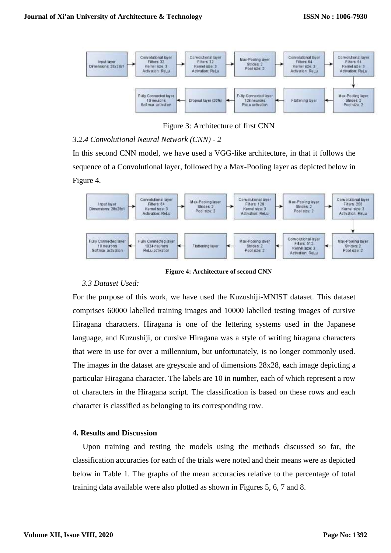

Figure 3: Architecture of first CNN

# *3.2.4 Convolutional Neural Network (CNN) - 2*

In this second CNN model, we have used a VGG-like architecture, in that it follows the sequence of a Convolutional layer, followed by a Max-Pooling layer as depicted below in Figure 4.



**Figure 4: Architecture of second CNN**

## *3.3 Dataset Used:*

For the purpose of this work, we have used the Kuzushiji-MNIST dataset. This dataset comprises 60000 labelled training images and 10000 labelled testing images of cursive Hiragana characters. Hiragana is one of the lettering systems used in the Japanese language, and Kuzushiji, or cursive Hiragana was a style of writing hiragana characters that were in use for over a millennium, but unfortunately, is no longer commonly used. The images in the dataset are greyscale and of dimensions 28x28, each image depicting a particular Hiragana character. The labels are 10 in number, each of which represent a row of characters in the Hiragana script. The classification is based on these rows and each character is classified as belonging to its corresponding row.

## **4. Results and Discussion**

Upon training and testing the models using the methods discussed so far, the classification accuracies for each of the trials were noted and their means were as depicted below in Table 1. The graphs of the mean accuracies relative to the percentage of total training data available were also plotted as shown in Figures 5, 6, 7 and 8.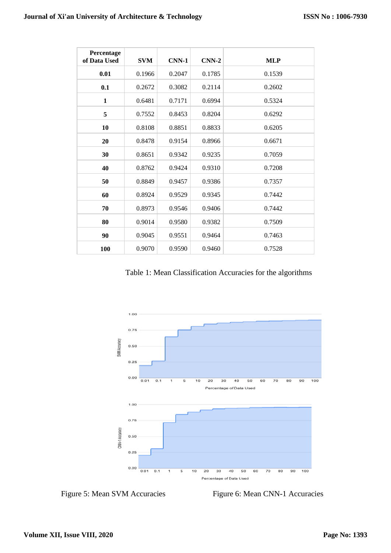| Percentage<br>of Data Used | <b>SVM</b> | <b>CNN-1</b> | $CNN-2$ | <b>MLP</b> |
|----------------------------|------------|--------------|---------|------------|
| 0.01                       | 0.1966     | 0.2047       | 0.1785  | 0.1539     |
| 0.1                        | 0.2672     | 0.3082       | 0.2114  | 0.2602     |
| $\mathbf{1}$               | 0.6481     | 0.7171       | 0.6994  | 0.5324     |
| 5                          | 0.7552     | 0.8453       | 0.8204  | 0.6292     |
| 10                         | 0.8108     | 0.8851       | 0.8833  | 0.6205     |
| 20                         | 0.8478     | 0.9154       | 0.8966  | 0.6671     |
| 30                         | 0.8651     | 0.9342       | 0.9235  | 0.7059     |
| 40                         | 0.8762     | 0.9424       | 0.9310  | 0.7208     |
| 50                         | 0.8849     | 0.9457       | 0.9386  | 0.7357     |
| 60                         | 0.8924     | 0.9529       | 0.9345  | 0.7442     |
| 70                         | 0.8973     | 0.9546       | 0.9406  | 0.7442     |
| 80                         | 0.9014     | 0.9580       | 0.9382  | 0.7509     |
| 90                         | 0.9045     | 0.9551       | 0.9464  | 0.7463     |
| 100                        | 0.9070     | 0.9590       | 0.9460  | 0.7528     |

Table 1: Mean Classification Accuracies for the algorithms



Figure 5: Mean SVM Accuracies Figure 6: Mean CNN-1 Accuracies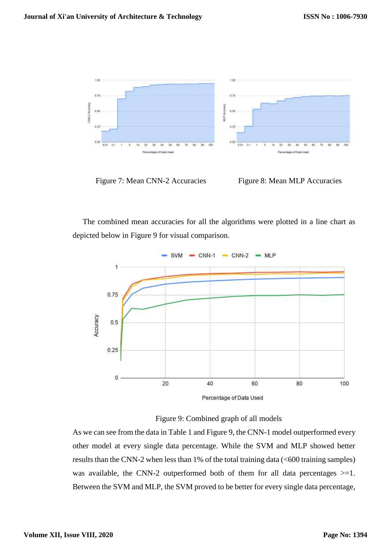

Figure 7: Mean CNN-2 Accuracies Figure 8: Mean MLP Accuracies

The combined mean accuracies for all the algorithms were plotted in a line chart as depicted below in Figure 9 for visual comparison.



Figure 9: Combined graph of all models

As we can see from the data in Table 1 and Figure 9, the CNN-1 model outperformed every other model at every single data percentage. While the SVM and MLP showed better results than the CNN-2 when less than 1% of the total training data (<600 training samples) was available, the CNN-2 outperformed both of them for all data percentages  $>=1$ . Between the SVM and MLP, the SVM proved to be better for every single data percentage,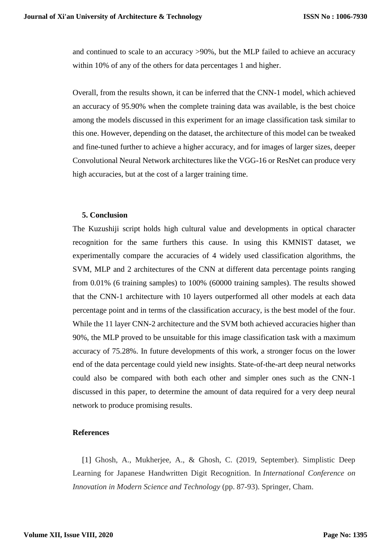and continued to scale to an accuracy >90%, but the MLP failed to achieve an accuracy within 10% of any of the others for data percentages 1 and higher.

Overall, from the results shown, it can be inferred that the CNN-1 model, which achieved an accuracy of 95.90% when the complete training data was available, is the best choice among the models discussed in this experiment for an image classification task similar to this one. However, depending on the dataset, the architecture of this model can be tweaked and fine-tuned further to achieve a higher accuracy, and for images of larger sizes, deeper Convolutional Neural Network architectures like the VGG-16 or ResNet can produce very high accuracies, but at the cost of a larger training time.

#### **5. Conclusion**

The Kuzushiji script holds high cultural value and developments in optical character recognition for the same furthers this cause. In using this KMNIST dataset, we experimentally compare the accuracies of 4 widely used classification algorithms, the SVM, MLP and 2 architectures of the CNN at different data percentage points ranging from 0.01% (6 training samples) to 100% (60000 training samples). The results showed that the CNN-1 architecture with 10 layers outperformed all other models at each data percentage point and in terms of the classification accuracy, is the best model of the four. While the 11 layer CNN-2 architecture and the SVM both achieved accuracies higher than 90%, the MLP proved to be unsuitable for this image classification task with a maximum accuracy of 75.28%. In future developments of this work, a stronger focus on the lower end of the data percentage could yield new insights. State-of-the-art deep neural networks could also be compared with both each other and simpler ones such as the CNN-1 discussed in this paper, to determine the amount of data required for a very deep neural network to produce promising results.

#### **References**

[1] Ghosh, A., Mukherjee, A., & Ghosh, C. (2019, September). Simplistic Deep Learning for Japanese Handwritten Digit Recognition. In *International Conference on Innovation in Modern Science and Technology* (pp. 87-93). Springer, Cham.